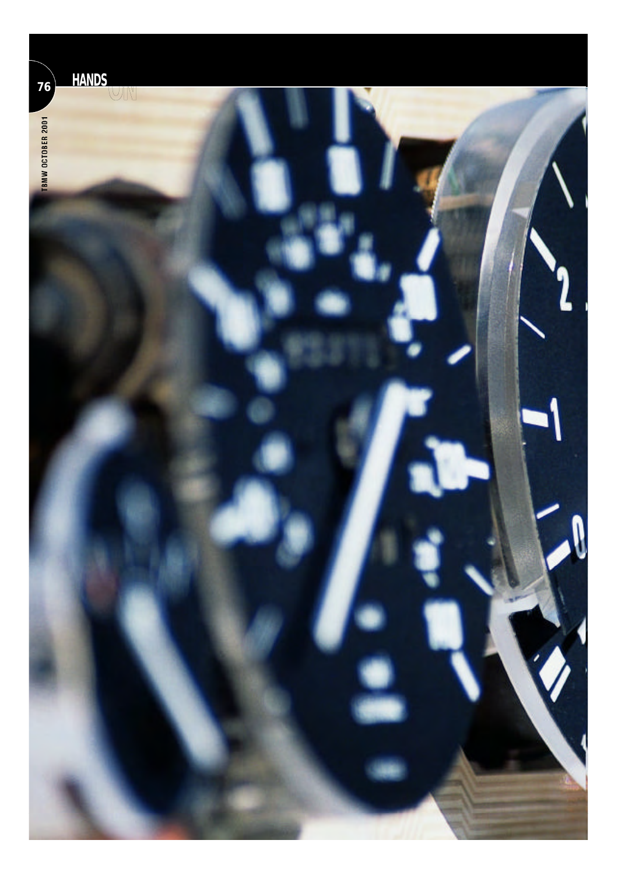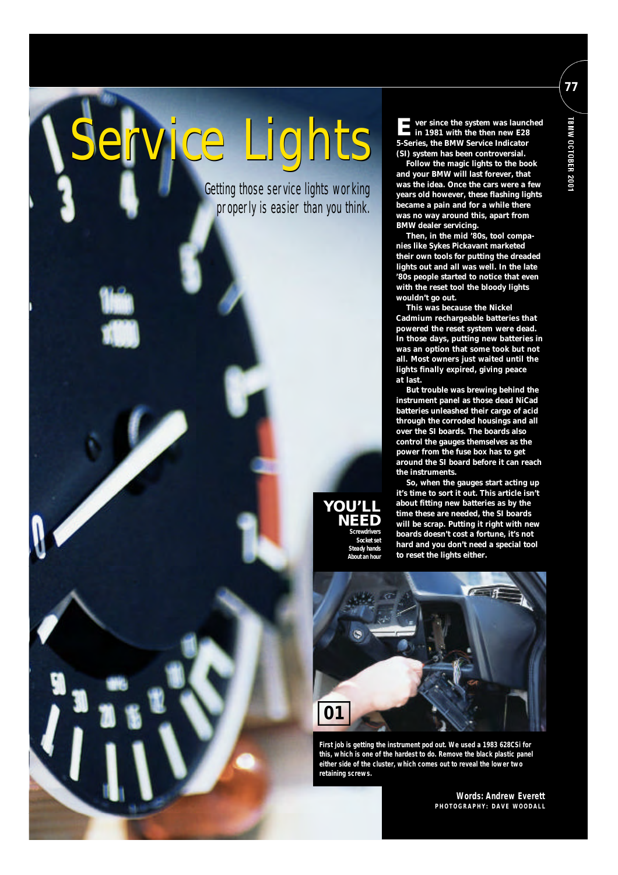**77**

## ice Lights

Getting those service lights working properly is easier than you think.

**E** ver since the system was launched<br>in 1981 with the then new E28 **in 1981 with the then new E28 5-Series, the BMW Service Indicator (SI) system has been controversial. Follow the magic lights to the book**

**and your BMW will last forever, that was the idea. Once the cars were a few years old however, these flashing lights became a pain and for a while there was no way around this, apart from BMW dealer servicing.**

**Then, in the mid '80s, tool companies like Sykes Pickavant marketed their own tools for putting the dreaded lights out and all was well. In the late '80s people started to notice that even with the reset tool the bloody lights wouldn't go out.**

**This was because the Nickel Cadmium rechargeable batteries that** powered the reset system were dead. **In those days, putting new batteries in was an option that some took but not all. Most owners just waited until the lights finally expired, giving peace at last.**

**But trouble was brewing behind the instrument panel as those dead NiCad batteries unleashed their cargo of acid through the corroded housings and all over the SI boards. The boards also control the gauges themselves as the power from the fuse box has to get around the SI board before it can reach the instruments.**

**So, when the gauges start acting up it's time to sort it out. This article isn't about fitting new batteries as by the time these are needed, the SI boards will be scrap. Putting it right with new boards doesn't cost a fortune, it's not hard and you don't need a special tool to reset the lights either.**



**01**

**First job is getting the instrument pod out. We used a 1983 628CSi for this, which is one of the hardest to do. Remove the black plastic panel either side of the cluster, which comes out to reveal the lower two retaining screws.**

> *Words: Andrew Everett* PHOTOGRAPHY: DAVE WOODALL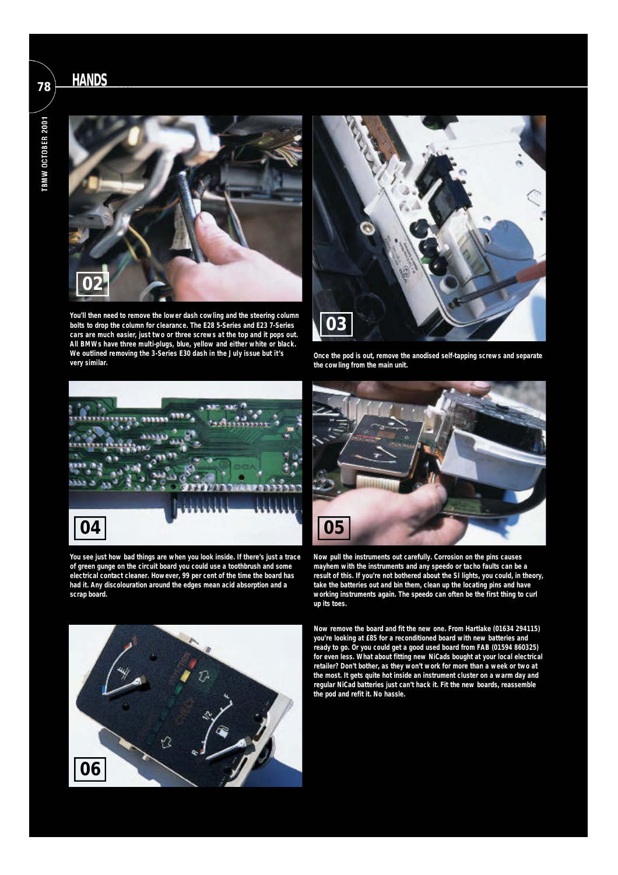**78 HANDS** 



**You'll then need to remove the lower dash cowling and the steering column bolts to drop the column for clearance. The E28 5-Series and E23 7-Series cars are much easier, just two or three screws at the top and it pops out. All BMWs have three multi-plugs, blue, yellow and either white or black. We outlined removing the 3-Series E30 dash in the July issue but it's very similar.**



**Once the pod is out, remove the anodised self-tapping screws and separate the cowling from the main unit.**



**You see just how bad things are when you look inside. If there's just a trace of green gunge on the circuit board you could use a toothbrush and some electrical contact cleaner. However, 99 per cent of the time the board has had it. Any discolouration around the edges mean acid absorption and a scrap board.**





**Now pull the instruments out carefully. Corrosion on the pins causes mayhem with the instruments and any speedo or tacho faults can be a result of this. If you're not bothered about the SI lights, you could, in theory, take the batteries out and bin them, clean up the locating pins and have working instruments again. The speedo can often be the first thing to curl up its toes.**

**Now remove the board and fit the new one. From Hartlake (01634 294115) you're looking at £85 for a reconditioned board with new batteries and ready to go. Or you could get a good used board from FAB (01594 860325) for even less. What about fitting new NiCads bought at your local electrical retailer? Don't bother, as they won't work for more than a week or two at the most. It gets quite hot inside an instrument cluster on a warm day and regular NiCad batteries just can't hack it. Fit the new boards, reassemble the pod and refit it. No hassle.**